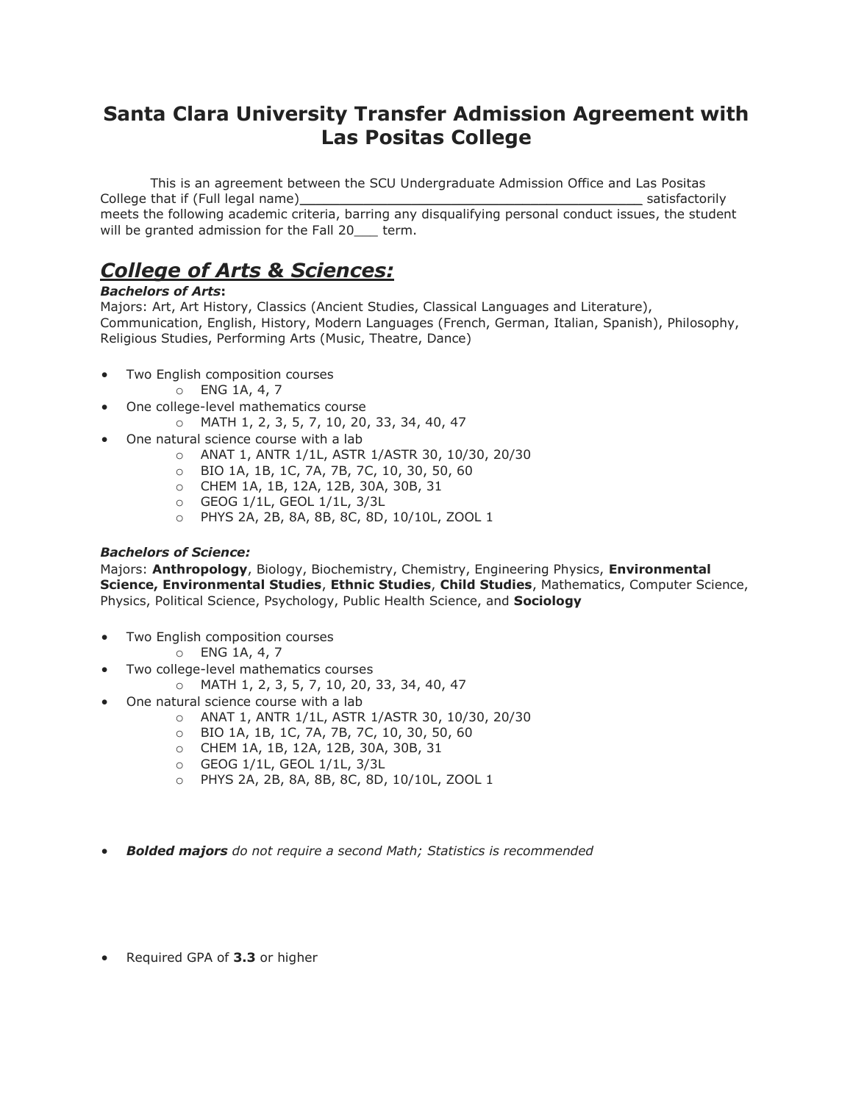### **Santa Clara University Transfer Admission Agreement with Las Positas College**

This is an agreement between the SCU Undergraduate Admission Office and Las Positas College that if (Full legal name)\_\_\_\_\_\_\_\_\_\_\_\_\_\_\_\_\_\_\_\_\_\_\_\_\_\_\_\_\_\_\_\_\_\_\_\_\_\_\_\_\_\_\_ satisfactorily meets the following academic criteria, barring any disqualifying personal conduct issues, the student will be granted admission for the Fall 20\_\_\_ term.

# *College of Arts & Sciences:*

#### *Bachelors of Arts***:**

Majors: Art, Art History, Classics (Ancient Studies, Classical Languages and Literature), Communication, English, History, Modern Languages (French, German, Italian, Spanish), Philosophy, Religious Studies, Performing Arts (Music, Theatre, Dance)

- Two English composition courses
	- o ENG 1A, 4, 7
	- One college-level mathematics course
		- o MATH 1, 2, 3, 5, 7, 10, 20, 33, 34, 40, 47
- One natural science course with a lab
	- o ANAT 1, ANTR 1/1L, ASTR 1/ASTR 30, 10/30, 20/30
	- o BIO 1A, 1B, 1C, 7A, 7B, 7C, 10, 30, 50, 60
	- o CHEM 1A, 1B, 12A, 12B, 30A, 30B, 31
	- o GEOG 1/1L, GEOL 1/1L, 3/3L
	- o PHYS 2A, 2B, 8A, 8B, 8C, 8D, 10/10L, ZOOL 1

#### *Bachelors of Science:*

Majors: **Anthropology**, Biology, Biochemistry, Chemistry, Engineering Physics, **Environmental Science, Environmental Studies**, **Ethnic Studies**, **Child Studies**, Mathematics, Computer Science, Physics, Political Science, Psychology, Public Health Science, and **Sociology**

- Two English composition courses
	- o ENG 1A, 4, 7
- Two college-level mathematics courses
	- o MATH 1, 2, 3, 5, 7, 10, 20, 33, 34, 40, 47
	- One natural science course with a lab
		- o ANAT 1, ANTR 1/1L, ASTR 1/ASTR 30, 10/30, 20/30
		- o BIO 1A, 1B, 1C, 7A, 7B, 7C, 10, 30, 50, 60
		- o CHEM 1A, 1B, 12A, 12B, 30A, 30B, 31
		- o GEOG 1/1L, GEOL 1/1L, 3/3L
		- o PHYS 2A, 2B, 8A, 8B, 8C, 8D, 10/10L, ZOOL 1
- *Bolded majors do not require a second Math; Statistics is recommended*
- Required GPA of **3.3** or higher